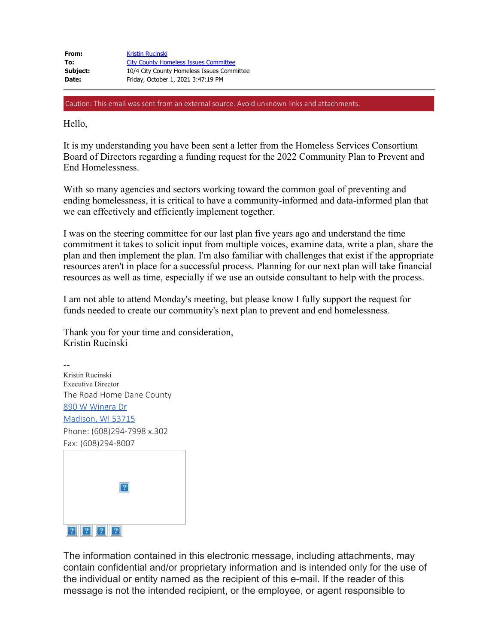| From:    | <b>Kristin Rucinski</b>                      |
|----------|----------------------------------------------|
| To:      | <b>City County Homeless Issues Committee</b> |
| Subject: | 10/4 City County Homeless Issues Committee   |
| Date:    | Friday, October 1, 2021 3:47:19 PM           |

Hello,

It is my understanding you have been sent a letter from the Homeless Services Consortium Board of Directors regarding a funding request for the 2022 Community Plan to Prevent and End Homelessness.

With so many agencies and sectors working toward the common goal of preventing and ending homelessness, it is critical to have a community-informed and data-informed plan that we can effectively and efficiently implement together.

I was on the steering committee for our last plan five years ago and understand the time commitment it takes to solicit input from multiple voices, examine data, write a plan, share the plan and then implement the plan. I'm also familiar with challenges that exist if the appropriate resources aren't in place for a successful process. Planning for our next plan will take financial resources as well as time, especially if we use an outside consultant to help with the process.

I am not able to attend Monday's meeting, but please know I fully support the request for funds needed to create our community's next plan to prevent and end homelessness.

Thank you for your time and consideration, Kristin Rucinski

-- Kristin Rucinski Executive Director The Road Home Dane County [890 W Wingra Dr](https://urldefense.proofpoint.com/v2/url?u=https-3A__maps.google.com_-3Fq-3DDane-2BCounty-2B-250D-250A-250D-250A-2B890-2BW-2BWingra-2BDr-2B-250D-250A-250D-250A-2BMadison-2C-2BWI-2B53715-26entry-3Dgmail-26source-3Dg&d=DwMFaQ&c=byefhD2ZumMFFQYPZBagUCDuBiM9Q9twmxaBM0hCgII&r=kIRI9SpZFhaqWpuKdYwFJv05Urhgijo8_0sAbyQgCDM&m=BBmCMaACVN9U4kzPGXetNMaEadrQXC3StnPbbseolwo&s=Yxx3KqCvoBl2bXwn15YCwzbG0jXna8p_zuLvRv7j9VA&e=) [Madison, WI 53715](https://urldefense.proofpoint.com/v2/url?u=https-3A__maps.google.com_-3Fq-3DDane-2BCounty-2B-250D-250A-250D-250A-2B890-2BW-2BWingra-2BDr-2B-250D-250A-250D-250A-2BMadison-2C-2BWI-2B53715-26entry-3Dgmail-26source-3Dg&d=DwMFaQ&c=byefhD2ZumMFFQYPZBagUCDuBiM9Q9twmxaBM0hCgII&r=kIRI9SpZFhaqWpuKdYwFJv05Urhgijo8_0sAbyQgCDM&m=BBmCMaACVN9U4kzPGXetNMaEadrQXC3StnPbbseolwo&s=Yxx3KqCvoBl2bXwn15YCwzbG0jXna8p_zuLvRv7j9VA&e=) Phone: (608)294-7998 x.302 Fax: (608)294-8007

| ?   |
|-----|
|     |
| 222 |

The information contained in this electronic message, including attachments, may contain confidential and/or proprietary information and is intended only for the use of the individual or entity named as the recipient of this e-mail. If the reader of this message is not the intended recipient, or the employee, or agent responsible to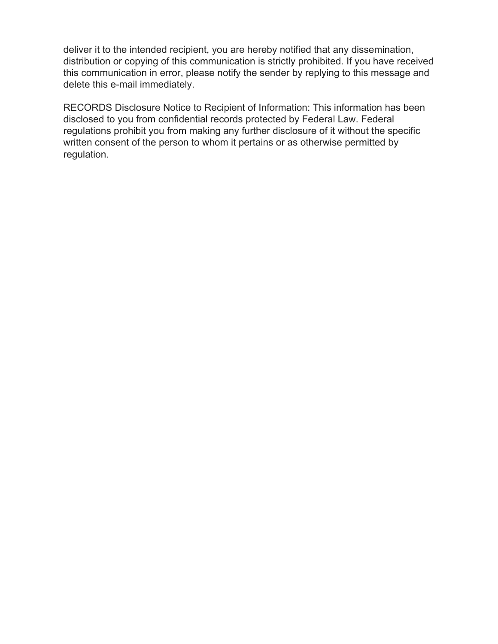deliver it to the intended recipient, you are hereby notified that any dissemination, distribution or copying of this communication is strictly prohibited. If you have received this communication in error, please notify the sender by replying to this message and delete this e-mail immediately.

RECORDS Disclosure Notice to Recipient of Information: This information has been disclosed to you from confidential records protected by Federal Law. Federal regulations prohibit you from making any further disclosure of it without the specific written consent of the person to whom it pertains or as otherwise permitted by regulation.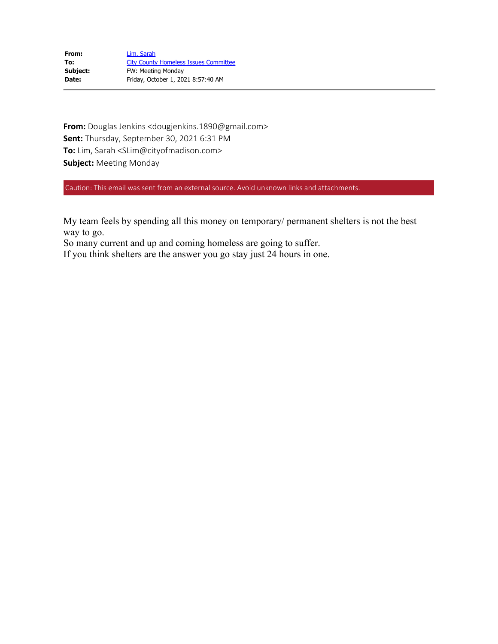| From:    | Lim, Sarah                                   |
|----------|----------------------------------------------|
| To:      | <b>City County Homeless Issues Committee</b> |
| Subject: | <b>FW: Meeting Monday</b>                    |
| Date:    | Friday, October 1, 2021 8:57:40 AM           |

**From:** Douglas Jenkins <dougjenkins.1890@gmail.com> **Sent:** Thursday, September 30, 2021 6:31 PM **To:** Lim, Sarah <SLim@cityofmadison.com> **Subject:** Meeting Monday

Caution: This email was sent from an external source. Avoid unknown links and attachments.

My team feels by spending all this money on temporary/ permanent shelters is not the best way to go.

So many current and up and coming homeless are going to suffer.

If you think shelters are the answer you go stay just 24 hours in one.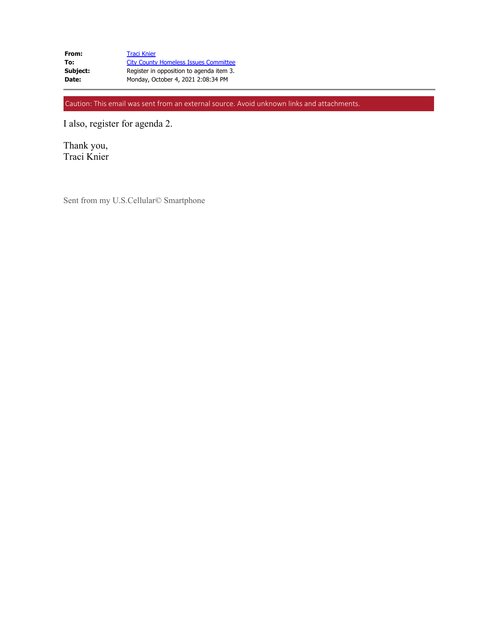| From:    | <b>Traci Knier</b>                           |
|----------|----------------------------------------------|
| To:      | <b>City County Homeless Issues Committee</b> |
| Subject: | Register in opposition to agenda item 3.     |
| Date:    | Monday, October 4, 2021 2:08:34 PM           |

I also, register for agenda 2.

Thank you, Traci Knier

Sent from my U.S.Cellular© Smartphone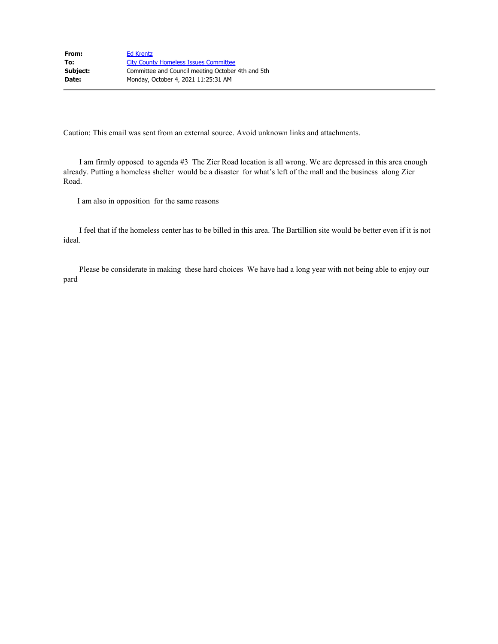I am firmly opposed to agenda #3 The Zier Road location is all wrong. We are depressed in this area enough already. Putting a homeless shelter would be a disaster for what's left of the mall and the business along Zier Road.

I am also in opposition for the same reasons

 I feel that if the homeless center has to be billed in this area. The Bartillion site would be better even if it is not ideal.

 Please be considerate in making these hard choices We have had a long year with not being able to enjoy our pard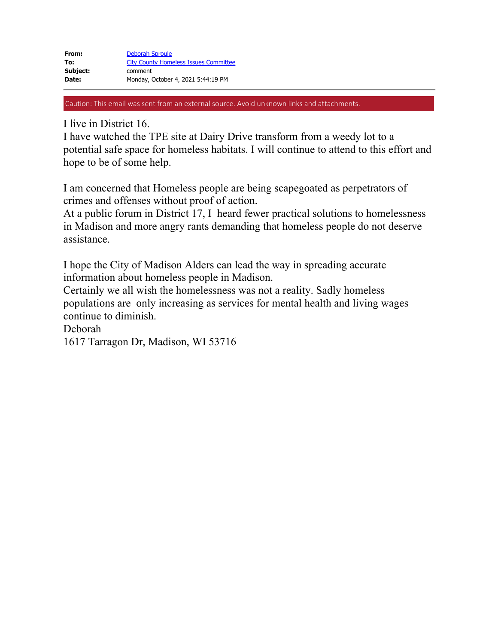I live in District 16.

I have watched the TPE site at Dairy Drive transform from a weedy lot to a potential safe space for homeless habitats. I will continue to attend to this effort and hope to be of some help.

I am concerned that Homeless people are being scapegoated as perpetrators of crimes and offenses without proof of action.

At a public forum in District 17, I heard fewer practical solutions to homelessness in Madison and more angry rants demanding that homeless people do not deserve assistance.

I hope the City of Madison Alders can lead the way in spreading accurate information about homeless people in Madison.

Certainly we all wish the homelessness was not a reality. Sadly homeless populations are only increasing as services for mental health and living wages continue to diminish.

Deborah

1617 Tarragon Dr, Madison, WI 53716